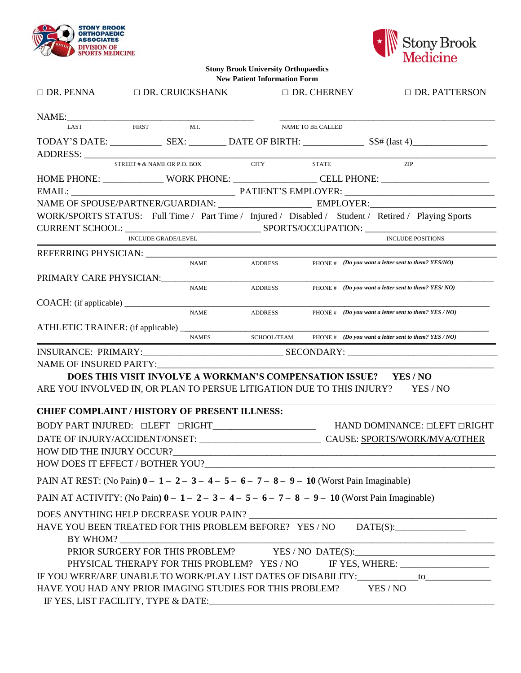



**Stony Brook University Orthopaedics New Patient Information Form**

| $\Box$ DR. PENNA $\Box$ DR. CRUICKSHANK                                                          |                            |                                             | $\Box$ DR. CHERNEY | $\Box$ DR. PATTERSON                                                                                                 |                                                                                                                                                                                                 |
|--------------------------------------------------------------------------------------------------|----------------------------|---------------------------------------------|--------------------|----------------------------------------------------------------------------------------------------------------------|-------------------------------------------------------------------------------------------------------------------------------------------------------------------------------------------------|
|                                                                                                  |                            |                                             |                    |                                                                                                                      |                                                                                                                                                                                                 |
| NAME: LAST FIRST M.I.                                                                            |                            |                                             |                    | NAME TO BE CALLED                                                                                                    |                                                                                                                                                                                                 |
|                                                                                                  |                            |                                             |                    |                                                                                                                      |                                                                                                                                                                                                 |
|                                                                                                  |                            |                                             |                    |                                                                                                                      |                                                                                                                                                                                                 |
|                                                                                                  |                            | STREET # & NAME OR P.O. BOX CITY STATE      |                    |                                                                                                                      | <b>ZIP</b>                                                                                                                                                                                      |
|                                                                                                  |                            |                                             |                    |                                                                                                                      | HOME PHONE: ________________WORK PHONE: __________________CELL PHONE: ______________________________                                                                                            |
|                                                                                                  |                            |                                             |                    |                                                                                                                      |                                                                                                                                                                                                 |
|                                                                                                  |                            |                                             |                    |                                                                                                                      |                                                                                                                                                                                                 |
|                                                                                                  |                            |                                             |                    |                                                                                                                      | WORK/SPORTS STATUS: Full Time / Part Time / Injured / Disabled / Student / Retired / Playing Sports                                                                                             |
|                                                                                                  |                            |                                             |                    |                                                                                                                      |                                                                                                                                                                                                 |
|                                                                                                  | <b>INCLUDE GRADE/LEVEL</b> |                                             |                    | <u> 1980 - Johann Barn, mars ann an t-Amhain Aonaich an t-Aonaich an t-Aonaich ann an t-Aonaich ann an t-Aonaich</u> | <b>INCLUDE POSITIONS</b>                                                                                                                                                                        |
|                                                                                                  |                            | <b>NAME</b>                                 |                    |                                                                                                                      | ADDRESS PHONE # (Do you want a letter sent to them? YES/NO)                                                                                                                                     |
|                                                                                                  |                            |                                             |                    |                                                                                                                      |                                                                                                                                                                                                 |
| PRIMARY CARE PHYSICIAN: PRIMARY CARE PHYSICIAN:                                                  |                            | <b>NAME</b>                                 |                    |                                                                                                                      | ADDRESS PHONE # (Do you want a letter sent to them? YES/NO)                                                                                                                                     |
|                                                                                                  |                            |                                             |                    |                                                                                                                      |                                                                                                                                                                                                 |
|                                                                                                  |                            | <b>NAME</b>                                 |                    |                                                                                                                      | ADDRESS PHONE # (Do you want a letter sent to them? YES / NO)                                                                                                                                   |
|                                                                                                  |                            |                                             |                    |                                                                                                                      |                                                                                                                                                                                                 |
|                                                                                                  |                            | <b>NAMES</b>                                |                    |                                                                                                                      | SCHOOL/TEAM PHONE $# (Do you want a letter sent to them? YES/NO)$                                                                                                                               |
|                                                                                                  |                            |                                             |                    |                                                                                                                      |                                                                                                                                                                                                 |
| NAME OF INSURED PARTY:                                                                           |                            |                                             |                    |                                                                                                                      |                                                                                                                                                                                                 |
|                                                                                                  |                            |                                             |                    |                                                                                                                      | DOES THIS VISIT INVOLVE A WORKMAN'S COMPENSATION ISSUE? YES / NO                                                                                                                                |
|                                                                                                  |                            |                                             |                    |                                                                                                                      | ARE YOU INVOLVED IN, OR PLAN TO PERSUE LITIGATION DUE TO THIS INJURY? YES / NO                                                                                                                  |
| <b>CHIEF COMPLAINT / HISTORY OF PRESENT ILLNESS:</b>                                             |                            |                                             |                    |                                                                                                                      |                                                                                                                                                                                                 |
|                                                                                                  |                            |                                             |                    |                                                                                                                      | $\texttt{BODY PART}\texttt{INJURED: }\Box \texttt{LEFT}\texttt{ }\Box \texttt{RIGHT}\texttt{]\_} \qquad\qquad \texttt{HAND}\texttt{DOMINANCE: }\Box \texttt{LEFT}\texttt{ }\Box \texttt{RIGHT}$ |
|                                                                                                  |                            |                                             |                    |                                                                                                                      |                                                                                                                                                                                                 |
|                                                                                                  |                            |                                             |                    |                                                                                                                      |                                                                                                                                                                                                 |
| HOW DOES IT EFFECT / BOTHER YOU?                                                                 |                            |                                             |                    |                                                                                                                      |                                                                                                                                                                                                 |
| PAIN AT REST: (No Pain) $0 - 1 - 2 - 3 - 4 - 5 - 6 - 7 - 8 - 9 - 10$ (Worst Pain Imaginable)     |                            |                                             |                    |                                                                                                                      |                                                                                                                                                                                                 |
| PAIN AT ACTIVITY: (No Pain) $0 - 1 - 2 - 3 - 4 - 5 - 6 - 7 - 8 - 9 - 10$ (Worst Pain Imaginable) |                            |                                             |                    |                                                                                                                      |                                                                                                                                                                                                 |
| DOES ANYTHING HELP DECREASE YOUR PAIN?                                                           |                            |                                             |                    |                                                                                                                      | <u> 1980 - Jan James James Barnett, fransk politik (d. 1980)</u>                                                                                                                                |
|                                                                                                  |                            |                                             |                    |                                                                                                                      | HAVE YOU BEEN TREATED FOR THIS PROBLEM BEFORE? YES / NO DATE(S): ______________                                                                                                                 |
|                                                                                                  |                            |                                             |                    |                                                                                                                      | PRIOR SURGERY FOR THIS PROBLEM? YES / NO DATE(S): _______________________________                                                                                                               |
|                                                                                                  |                            | PHYSICAL THERAPY FOR THIS PROBLEM? YES / NO |                    |                                                                                                                      |                                                                                                                                                                                                 |
|                                                                                                  |                            |                                             |                    |                                                                                                                      | IF YOU WERE/ARE UNABLE TO WORK/PLAY LIST DATES OF DISABILITY:___________to_______                                                                                                               |
| HAVE YOU HAD ANY PRIOR IMAGING STUDIES FOR THIS PROBLEM? YES / NO                                |                            |                                             |                    |                                                                                                                      |                                                                                                                                                                                                 |
|                                                                                                  |                            |                                             |                    |                                                                                                                      |                                                                                                                                                                                                 |